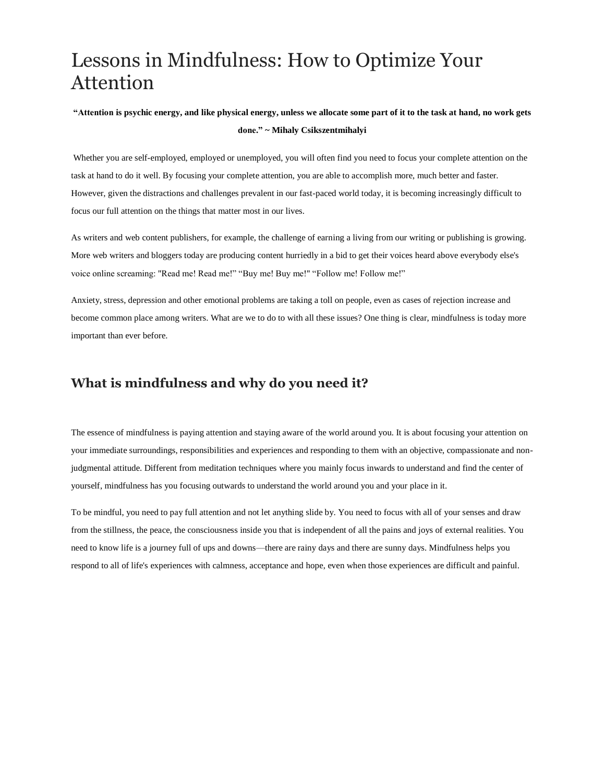# Lessons in Mindfulness: How to Optimize Your Attention

#### "Attention is psychic energy, and like physical energy, unless we allocate some part of it to the task at hand, no work gets **done." ~ Mihaly Csikszentmihalyi**

Whether you are self-employed, employed or unemployed, you will often find you need to focus your complete attention on the task at hand to do it well. By focusing your complete attention, you are able to accomplish more, much better and faster. However, given the distractions and challenges prevalent in our fast-paced world today, it is becoming increasingly difficult to focus our full attention on the things that matter most in our lives.

As writers and web content publishers, for example, the challenge of earning a living from our writing or publishing is growing. More web writers and bloggers today are producing content hurriedly in a bid to get their voices heard above everybody else's voice online screaming: "Read me! Read me!" "Buy me! Buy me!" "Follow me! Follow me!"

Anxiety, stress, depression and other emotional problems are taking a toll on people, even as cases of rejection increase and become common place among writers. What are we to do to with all these issues? One thing is clear, mindfulness is today more important than ever before.

## **What is mindfulness and why do you need it?**

The essence of mindfulness is paying attention and staying aware of the world around you. It is about focusing your attention on your immediate surroundings, responsibilities and experiences and responding to them with an objective, compassionate and nonjudgmental attitude. Different from meditation techniques where you mainly focus inwards to understand and find the center of yourself, mindfulness has you focusing outwards to understand the world around you and your place in it.

To be mindful, you need to pay full attention and not let anything slide by. You need to focus with all of your senses and draw from the stillness, the peace, the consciousness inside you that is independent of all the pains and joys of external realities. You need to know life is a journey full of ups and downs—there are rainy days and there are sunny days. Mindfulness helps you respond to all of life's experiences with calmness, acceptance and hope, even when those experiences are difficult and painful.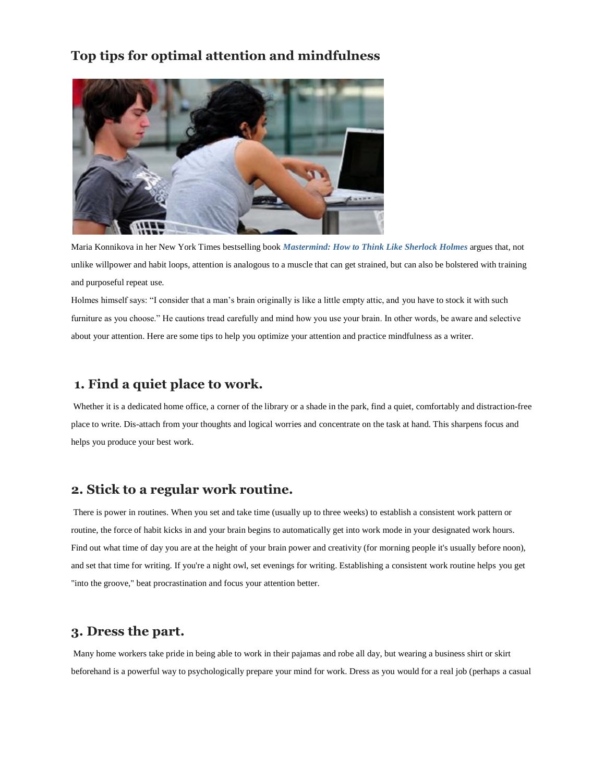## **Top tips for optimal attention and mindfulness**



Maria Konnikova in her New York Times bestselling book *[Mastermind:](http://www.amazon.com/gp/product/B008EKOSXS/ref=as_li_tl?ie=UTF8&camp=1789&creative=390957&creativeASIN=B008EKOSXS&linkCode=as2&tag=wsa0b-20&linkId=EWCAK5Q6TKL3B5UV) How to Think Like Sherlock Holmes* argues that, not unlike willpower and habit loops, attention is analogous to a muscle that can get strained, but can also be bolstered with training and purposeful repeat use.

Holmes himself says: "I consider that a man's brain originally is like a little empty attic, and you have to stock it with such furniture as you choose." He cautions tread carefully and mind how you use your brain. In other words, be aware and selective about your attention. Here are some tips to help you optimize your attention and practice mindfulness as a writer.

#### **1. Find a quiet place to work.**

Whether it is a dedicated home office, a corner of the library or a shade in the park, find a quiet, comfortably and distraction-free place to write. Dis-attach from your thoughts and logical worries and concentrate on the task at hand. This sharpens focus and helps you produce your best work.

# **2. Stick to a regular work routine.**

There is power in routines. When you set and take time (usually up to three weeks) to establish a consistent work pattern or routine, the force of habit kicks in and your brain begins to automatically get into work mode in your designated work hours. Find out what time of day you are at the height of your brain power and creativity (for morning people it's usually before noon), and set that time for writing. If you're a night owl, set evenings for writing. Establishing a consistent work routine helps you get "into the groove," beat procrastination and focus your attention better.

#### **3. Dress the part.**

Many home workers take pride in being able to work in their pajamas and robe all day, but wearing a business shirt or skirt beforehand is a powerful way to psychologically prepare your mind for work. Dress as you would for a real job (perhaps a casual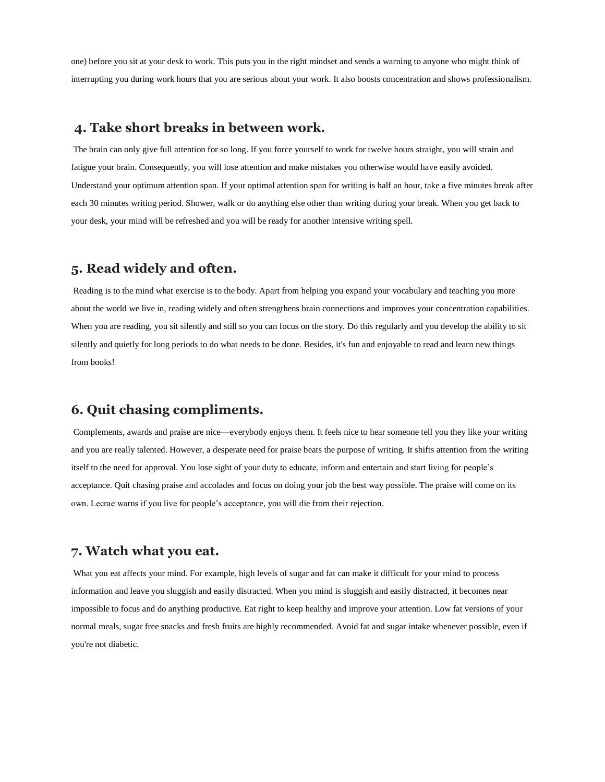one) before you sit at your desk to work. This puts you in the right mindset and sends a warning to anyone who might think of interrupting you during work hours that you are serious about your work. It also boosts concentration and shows professionalism.

#### **4. Take short breaks in between work.**

The brain can only give full attention for so long. If you force yourself to work for twelve hours straight, you will strain and fatigue your brain. Consequently, you will lose attention and make mistakes you otherwise would have easily avoided. Understand your optimum attention span. If your optimal attention span for writing is half an hour, take a five minutes break after each 30 minutes writing period. Shower, walk or do anything else other than writing during your break. When you get back to your desk, your mind will be refreshed and you will be ready for another intensive writing spell.

## **5. Read widely and often.**

Reading is to the mind what exercise is to the body. Apart from helping you expand your vocabulary and teaching you more about the world we live in, reading widely and often strengthens brain connections and improves your concentration capabilities. When you are reading, you sit silently and still so you can focus on the story. Do this regularly and you develop the ability to sit silently and quietly for long periods to do what needs to be done. Besides, it's fun and enjoyable to read and learn new things from books!

## **6. Quit chasing compliments.**

Complements, awards and praise are nice—everybody enjoys them. It feels nice to hear someone tell you they like your writing and you are really talented. However, a desperate need for praise beats the purpose of writing. It shifts attention from the writing itself to the need for approval. You lose sight of your duty to educate, inform and entertain and start living for people's acceptance. Quit chasing praise and accolades and focus on doing your job the best way possible. The praise will come on its own. Lecrae warns if you live for people's acceptance, you will die from their rejection.

## **7. Watch what you eat.**

What you eat affects your mind. For example, high levels of sugar and fat can make it difficult for your mind to process information and leave you sluggish and easily distracted. When you mind is sluggish and easily distracted, it becomes near impossible to focus and do anything productive. Eat right to keep healthy and improve your attention. Low fat versions of your normal meals, sugar free snacks and fresh fruits are highly recommended. Avoid fat and sugar intake whenever possible, even if you're not diabetic.